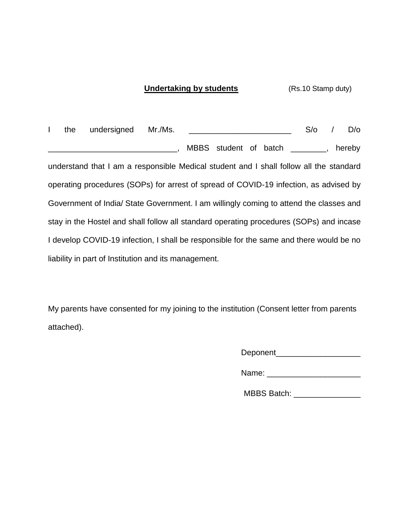## **Undertaking by students** (Rs.10 Stamp duty)

I the undersigned Mr./Ms. S/o / D/o \_\_\_\_\_\_\_\_\_\_\_\_\_\_\_\_\_\_\_\_\_\_\_\_\_\_\_\_\_, MBBS student of batch \_\_\_\_\_\_\_\_, hereby understand that I am a responsible Medical student and I shall follow all the standard operating procedures (SOPs) for arrest of spread of COVID-19 infection, as advised by Government of India/ State Government. I am willingly coming to attend the classes and stay in the Hostel and shall follow all standard operating procedures (SOPs) and incase I develop COVID-19 infection, I shall be responsible for the same and there would be no liability in part of Institution and its management.

My parents have consented for my joining to the institution (Consent letter from parents attached).

Deponent\_\_\_\_\_\_\_\_\_\_\_\_\_\_\_\_\_\_\_

Name:  $\blacksquare$ 

MBBS Batch: **WABBS**